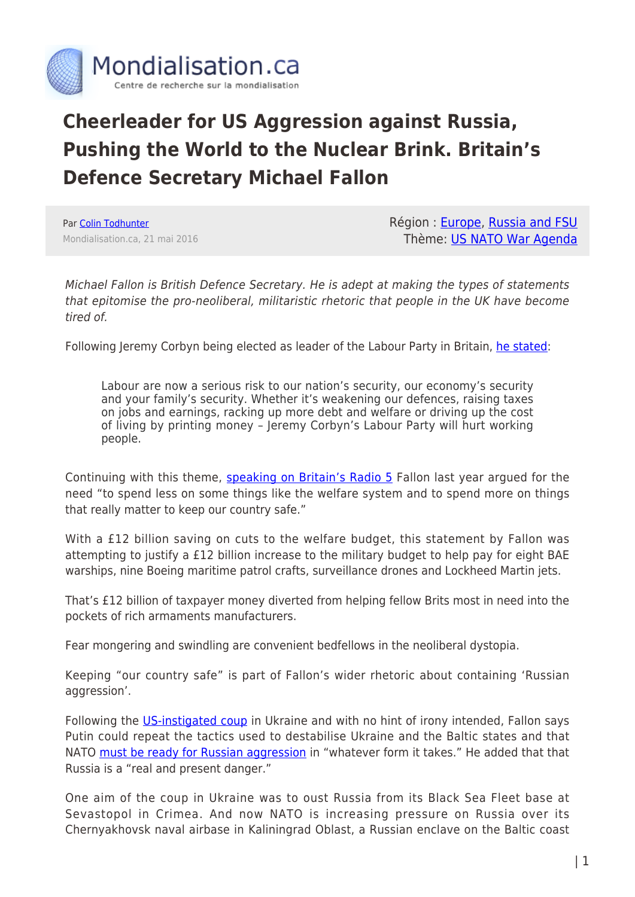

## **Cheerleader for US Aggression against Russia, Pushing the World to the Nuclear Brink. Britain's Defence Secretary Michael Fallon**

Par [Colin Todhunter](https://www.mondialisation.ca/author/colin-todhunter) Mondialisation.ca, 21 mai 2016 Région : [Europe](https://www.mondialisation.ca/region/europe), [Russia and FSU](https://www.mondialisation.ca/region/russia-and-fsu) Thème: [US NATO War Agenda](https://www.mondialisation.ca/theme/us-nato-war-agenda)

Michael Fallon is British Defence Secretary. He is adept at making the types of statements that epitomise the pro-neoliberal, militaristic rhetoric that people in the UK have become tired of.

Following Jeremy Corbyn being elected as leader of the Labour Party in Britain, [he stated](http://www.independent.co.uk/news/uk/politics/jeremy-corbyns-labour-party-is-a-national-security-risk-defence-secretary-claims-10498061.html):

Labour are now a serious risk to our nation's security, our economy's security and your family's security. Whether it's weakening our defences, raising taxes on jobs and earnings, racking up more debt and welfare or driving up the cost of living by printing money – Jeremy Corbyn's Labour Party will hurt working people.

Continuing with this theme, [speaking on Britain's Radio 5](http://www.thecanary.co/2015/11/24/cuts-social-services-pay-12-billion-windfall-arms-companies/) Fallon last year argued for the need "to spend less on some things like the welfare system and to spend more on things that really matter to keep our country safe."

With a £12 billion saving on cuts to the welfare budget, this statement by Fallon was attempting to justify a £12 billion increase to the military budget to help pay for eight BAE warships, nine Boeing maritime patrol crafts, surveillance drones and Lockheed Martin jets.

That's £12 billion of taxpayer money diverted from helping fellow Brits most in need into the pockets of rich armaments manufacturers.

Fear mongering and swindling are convenient bedfellows in the neoliberal dystopia.

Keeping "our country safe" is part of Fallon's wider rhetoric about containing 'Russian aggression'.

Following the [US-instigated coup](http://www.globalresearch.ca/washington-was-behind-ukraine-coup-obama-admits-that-us-brokered-a-deal-in-support-of-regime-change/5429142) in Ukraine and with no hint of irony intended, Fallon says Putin could repeat the tactics used to destabilise Ukraine and the Baltic states and that NATO [must be ready for Russian aggression](http://www.theguardian.com/politics/2015/feb/19/russia-a-threat-to-baltic-states-after-ukraine-conflict-warns-michael-fallon) in "whatever form it takes." He added that that Russia is a "real and present danger."

One aim of the coup in Ukraine was to oust Russia from its Black Sea Fleet base at Sevastopol in Crimea. And now NATO is increasing pressure on Russia over its Chernyakhovsk naval airbase in Kaliningrad Oblast, a Russian enclave on the Baltic coast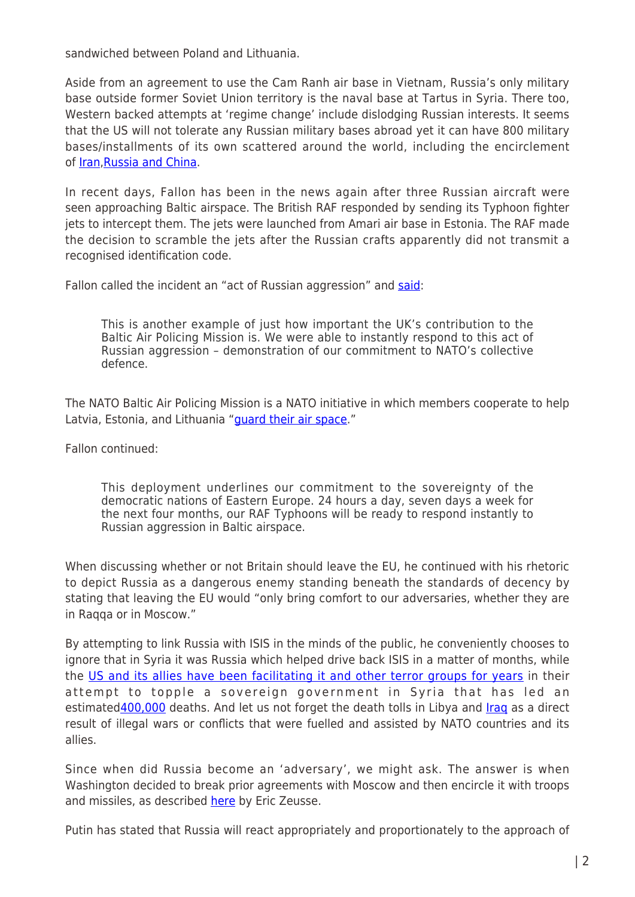sandwiched between Poland and Lithuania.

Aside from an agreement to use the Cam Ranh air base in Vietnam, Russia's only military base outside former Soviet Union territory is the naval base at Tartus in Syria. There too, Western backed attempts at 'regime change' include dislodging Russian interests. It seems that the US will not tolerate any Russian military bases abroad yet it can have 800 military bases/installments of its own scattered around the world, including the encirclement of [Iran](https://markbruzonsky.wordpress.com/2015/04/02/45-u-s-military-bases-surround-iran/)[,Russia and China.](http://www.4thmedia.org/2014/05/america-has-waged-a-brutal-dirty-tricks-campaign-against-russia-for-70-years/)

In recent days, Fallon has been in the news again after three Russian aircraft were seen approaching Baltic airspace. The British RAF responded by sending its Typhoon fighter jets to intercept them. The jets were launched from Amari air base in Estonia. The RAF made the decision to scramble the jets after the Russian crafts apparently did not transmit a recognised identification code.

Fallon called the incident an "act of Russian aggression" and [said](http://www.itv.com/news/2016-05-12/raf-jets-scrambled-to-intercept-russian-planes-in-the-baltics/):

This is another example of just how important the UK's contribution to the Baltic Air Policing Mission is. We were able to instantly respond to this act of Russian aggression – demonstration of our commitment to NATO's collective defence.

The NATO Baltic Air Policing Mission is a NATO initiative in which members cooperate to help Latvia, Estonia, and Lithuania "[guard their air space.](http://uatoday.tv/politics/british-fighters-start-policing-baltic-air-space-641957.html)"

Fallon continued:

This deployment underlines our commitment to the sovereignty of the democratic nations of Eastern Europe. 24 hours a day, seven days a week for the next four months, our RAF Typhoons will be ready to respond instantly to Russian aggression in Baltic airspace.

When discussing whether or not Britain should leave the EU, he continued with his rhetoric to depict Russia as a dangerous enemy standing beneath the standards of decency by stating that leaving the EU would "only bring comfort to our adversaries, whether they are in Raqqa or in Moscow."

By attempting to link Russia with ISIS in the minds of the public, he conveniently chooses to ignore that in Syria it was Russia which helped drive back ISIS in a matter of months, while the [US and its allies have been facilitating it and other terror groups for years](http://www.globalresearch.ca/the-dirty-war-on-syria/5491859) in their attempt to topple a sovereign government in Syria that has led an estimated [400,000](http://www.aljazeera.com/news/2016/04/staffan-de-mistura-400000-killed-syria-civil-war-160423055735629.html) deaths. And let us not forget the death tolls in Libya and [Iraq](http://www.justforeignpolicy.org/iraq) as a direct result of illegal wars or conflicts that were fuelled and assisted by NATO countries and its allies.

Since when did Russia become an 'adversary', we might ask. The answer is when Washington decided to break prior agreements with Moscow and then encircle it with troops and missiles, as described [here](http://www.globalresearch.ca/nato-announces-war-policy-against-russia-chilling-scenario-of-encirclement/5526014) by Eric Zeusse.

Putin has stated that Russia will react appropriately and proportionately to the approach of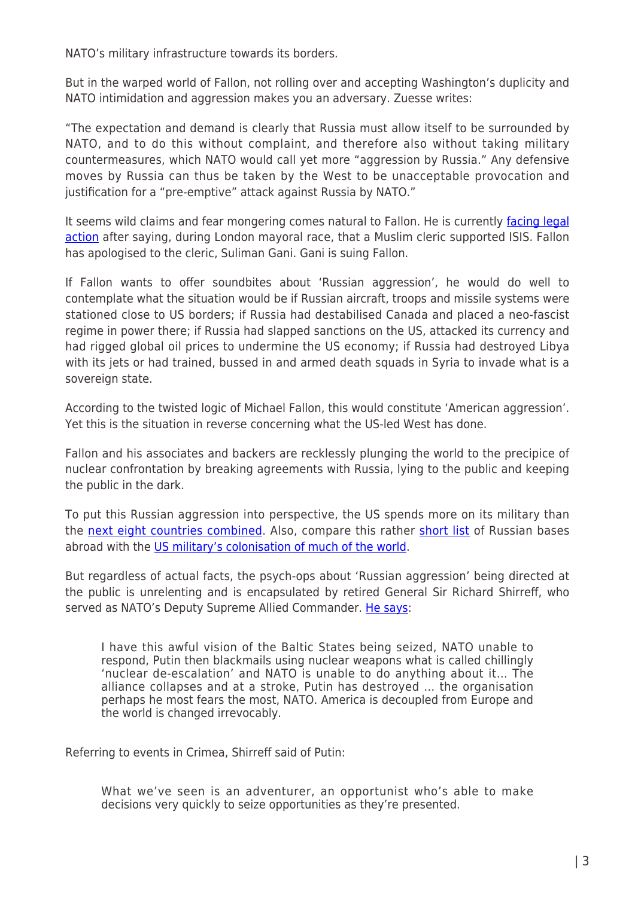NATO's military infrastructure towards its borders.

But in the warped world of Fallon, not rolling over and accepting Washington's duplicity and NATO intimidation and aggression makes you an adversary. Zuesse writes:

"The expectation and demand is clearly that Russia must allow itself to be surrounded by NATO, and to do this without complaint, and therefore also without taking military countermeasures, which NATO would call yet more "aggression by Russia." Any defensive moves by Russia can thus be taken by the West to be unacceptable provocation and justification for a "pre-emptive" attack against Russia by NATO."

It seems wild claims and fear mongering comes natural to Fallon. He is currently [facing legal](http://www.theguardian.com/uk-news/2016/may/11/muslim-cleric-suliman-gani-sues-michael-fallon-claim-he-backed-isis) [action](http://www.theguardian.com/uk-news/2016/may/11/muslim-cleric-suliman-gani-sues-michael-fallon-claim-he-backed-isis) after saying, during London mayoral race, that a Muslim cleric supported ISIS. Fallon has apologised to the cleric, Suliman Gani. Gani is suing Fallon.

If Fallon wants to offer soundbites about 'Russian aggression', he would do well to contemplate what the situation would be if Russian aircraft, troops and missile systems were stationed close to US borders; if Russia had destabilised Canada and placed a neo-fascist regime in power there; if Russia had slapped sanctions on the US, attacked its currency and had rigged global oil prices to undermine the US economy; if Russia had destroyed Libya with its jets or had trained, bussed in and armed death squads in Syria to invade what is a sovereign state.

According to the twisted logic of Michael Fallon, this would constitute 'American aggression'. Yet this is the situation in reverse concerning what the US-led West has done.

Fallon and his associates and backers are recklessly plunging the world to the precipice of nuclear confrontation by breaking agreements with Russia, lying to the public and keeping the public in the dark.

To put this Russian aggression into perspective, the US spends more on its military than the [next eight countries combined](http://www.politifact.com/truth-o-meter/statements/2016/jan/13/barack-obama/obama-us-spends-more-military-next-8-nations-combi/). Also, compare this rather [short list](https://en.wikipedia.org/wiki/List_of_Russian_military_bases_abroad) of Russian bases abroad with the [US military's colonisation of much of the world](http://www.globalresearch.ca/the-worldwide-network-of-us-military-bases/5564).

But regardless of actual facts, the psych-ops about 'Russian aggression' being directed at the public is unrelenting and is encapsulated by retired General Sir Richard Shirreff, who served as NATO's Deputy Supreme Allied Commander. [He says:](http://www.news.com.au/finance/work/leaders/former-nato-leader-boss-predicts-nuclear-war-with-russia-unless-nato-steps-up-security-in-baltic-nations/news-story/12c0717f32d63b75686e3fe1b350cc57)

I have this awful vision of the Baltic States being seized, NATO unable to respond, Putin then blackmails using nuclear weapons what is called chillingly 'nuclear de-escalation' and NATO is unable to do anything about it… The alliance collapses and at a stroke, Putin has destroyed … the organisation perhaps he most fears the most, NATO. America is decoupled from Europe and the world is changed irrevocably.

Referring to events in Crimea, Shirreff said of Putin:

What we've seen is an adventurer, an opportunist who's able to make decisions very quickly to seize opportunities as they're presented.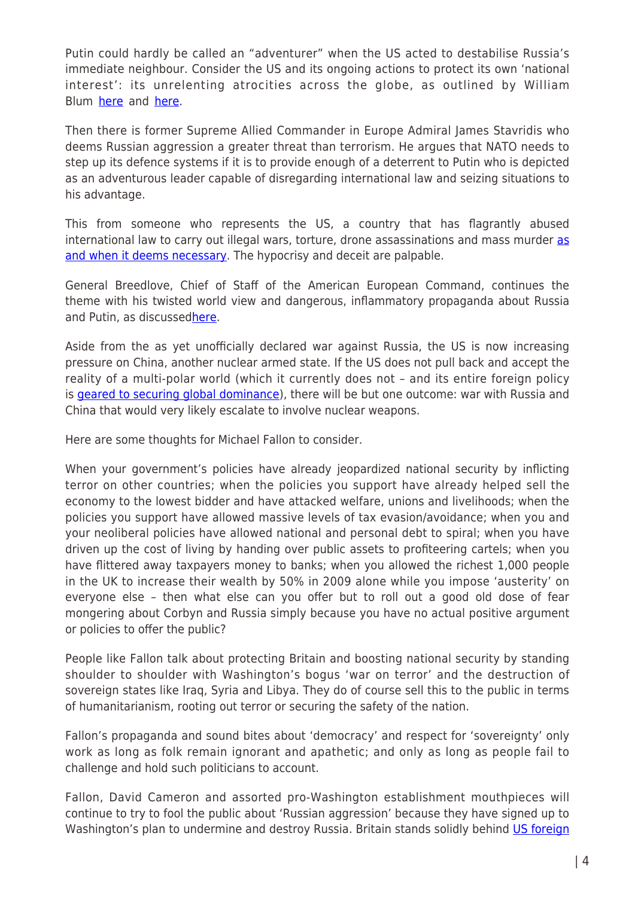Putin could hardly be called an "adventurer" when the US acted to destabilise Russia's immediate neighbour. Consider the US and its ongoing actions to protect its own 'national interest': its unrelenting atrocities across the globe, as outlined by William Blum [here](http://williamblum.org/chapters/rogue-state/united-states-bombings-of-other-countries) and [here](http://williamblum.org/books/killing-hope/).

Then there is former Supreme Allied Commander in Europe Admiral James Stavridis who deems Russian aggression a greater threat than terrorism. He argues that NATO needs to step up its defence systems if it is to provide enough of a deterrent to Putin who is depicted as an adventurous leader capable of disregarding international law and seizing situations to his advantage.

This from someone who represents the US, a country that has flagrantly abused international law to carry out illegal wars, torture, drone assassinations and mass murder [as](http://www.globalresearch.ca/the-real-american-exceptionalism-from-torture-to-drone-assassination/5433366) [and when it deems necessary.](http://www.globalresearch.ca/the-real-american-exceptionalism-from-torture-to-drone-assassination/5433366) The hypocrisy and deceit are palpable.

General Breedlove, Chief of Staff of the American European Command, continues the theme with his twisted world view and dangerous, inflammatory propaganda about Russia and Putin, as discusse[dhere](http://www.globalresearch.ca/nato-aggression-is-there-a-way-out/5520079).

Aside from the as yet unofficially declared war against Russia, the US is now increasing pressure on China, another nuclear armed state. If the US does not pull back and accept the reality of a multi-polar world (which it currently does not – and its entire foreign policy is [geared to securing global dominance\)](http://freedom-articles.toolsforfreedom.com/wolfowitz-doctrine-us-plan-global-supremacy/), there will be but one outcome: war with Russia and China that would very likely escalate to involve nuclear weapons.

Here are some thoughts for Michael Fallon to consider.

When your government's policies have already jeopardized national security by inflicting terror on other countries; when the policies you support have already helped sell the economy to the lowest bidder and have attacked welfare, unions and livelihoods; when the policies you support have allowed massive levels of tax evasion/avoidance; when you and your neoliberal policies have allowed national and personal debt to spiral; when you have driven up the cost of living by handing over public assets to profiteering cartels; when you have flittered away taxpayers money to banks; when you allowed the richest 1,000 people in the UK to increase their wealth by 50% in 2009 alone while you impose 'austerity' on everyone else – then what else can you offer but to roll out a good old dose of fear mongering about Corbyn and Russia simply because you have no actual positive argument or policies to offer the public?

People like Fallon talk about protecting Britain and boosting national security by standing shoulder to shoulder with Washington's bogus 'war on terror' and the destruction of sovereign states like Iraq, Syria and Libya. They do of course sell this to the public in terms of humanitarianism, rooting out terror or securing the safety of the nation.

Fallon's propaganda and sound bites about 'democracy' and respect for 'sovereignty' only work as long as folk remain ignorant and apathetic; and only as long as people fail to challenge and hold such politicians to account.

Fallon, David Cameron and assorted pro-Washington establishment mouthpieces will continue to try to fool the public about 'Russian aggression' because they have signed up to Washington's plan to undermine and destroy Russia. Britain stands solidly behind [US foreign](http://www.globalresearch.ca/americas-gamble-wealth-war-and-power-russian-roulette-and-the-drive-to-nuclear-armageddon/5398617)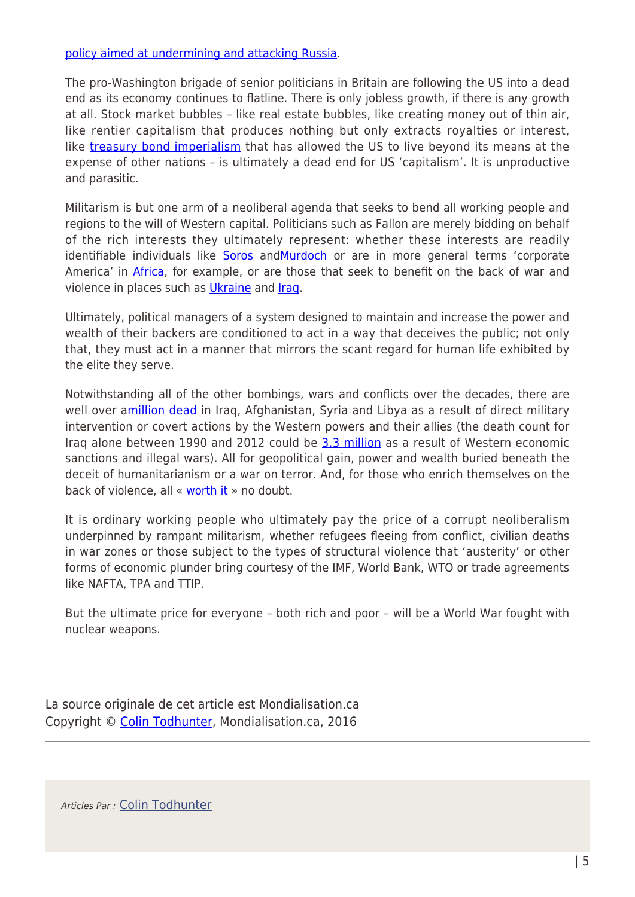## [policy aimed at undermining and attacking Russia.](http://www.globalresearch.ca/americas-gamble-wealth-war-and-power-russian-roulette-and-the-drive-to-nuclear-armageddon/5398617)

The pro-Washington brigade of senior politicians in Britain are following the US into a dead end as its economy continues to flatline. There is only jobless growth, if there is any growth at all. Stock market bubbles – like real estate bubbles, like creating money out of thin air, like rentier capitalism that produces nothing but only extracts royalties or interest, like [treasury bond imperialism](http://michael-hudson.com/2003/03/press-release-super-imperialism/) that has allowed the US to live beyond its means at the expense of other nations – is ultimately a dead end for US 'capitalism'. It is unproductive and parasitic.

Militarism is but one arm of a neoliberal agenda that seeks to bend all working people and regions to the will of Western capital. Politicians such as Fallon are merely bidding on behalf of the rich interests they ultimately represent: whether these interests are readily identifiable individuals like [Soros](http://sputniknews.com/politics/20160429/1038848148/merkel-soros-eu-plan.html) and[Murdoch](http://www.counterpunch.org/2015/03/27/rupert-murdoch-and-the-israeli-genie/) or are in more general terms 'corporate America' in **[Africa](http://www.globaljustice.org.uk/sites/default/files/files/resources/gated-development-global-justice-now.pdf)**, for example, or are those that seek to benefit on the back of war and violence in places such as [Ukraine](https://consortiumnews.com/2014/03/16/corporate-interests-behind-ukraine-putsch/) and [Iraq.](http://www.globalresearch.ca/articles/KHA501A.html)

Ultimately, political managers of a system designed to maintain and increase the power and wealth of their backers are conditioned to act in a way that deceives the public; not only that, they must act in a manner that mirrors the scant regard for human life exhibited by the elite they serve.

Notwithstanding all of the other bombings, wars and conflicts over the decades, there are well over a[million dead](http://www.globalresearch.ca/playing-games-with-war-deaths/5502233) in Iraq, Afghanistan, Syria and Libya as a result of direct military intervention or covert actions by the Western powers and their allies (the death count for Iraq alone between 1990 and 2012 could be [3.3 million](http://www.informationclearinghouse.info/article39639.htm) as a result of Western economic sanctions and illegal wars). All for geopolitical gain, power and wealth buried beneath the deceit of humanitarianism or a war on terror. And, for those who enrich themselves on the back of violence, all « [worth it](https://en.wikipedia.org/wiki/Madeleine_Albright#Sanctions_against_Iraq) » no doubt.

It is ordinary working people who ultimately pay the price of a corrupt neoliberalism underpinned by rampant militarism, whether refugees fleeing from conflict, civilian deaths in war zones or those subject to the types of structural violence that 'austerity' or other forms of economic plunder bring courtesy of the IMF, World Bank, WTO or trade agreements like NAFTA, TPA and TTIP.

But the ultimate price for everyone – both rich and poor – will be a World War fought with nuclear weapons.

La source originale de cet article est Mondialisation.ca Copyright © [Colin Todhunter](https://www.mondialisation.ca/author/colin-todhunter), Mondialisation.ca, 2016

Articles Par : [Colin Todhunter](https://www.mondialisation.ca/author/colin-todhunter)